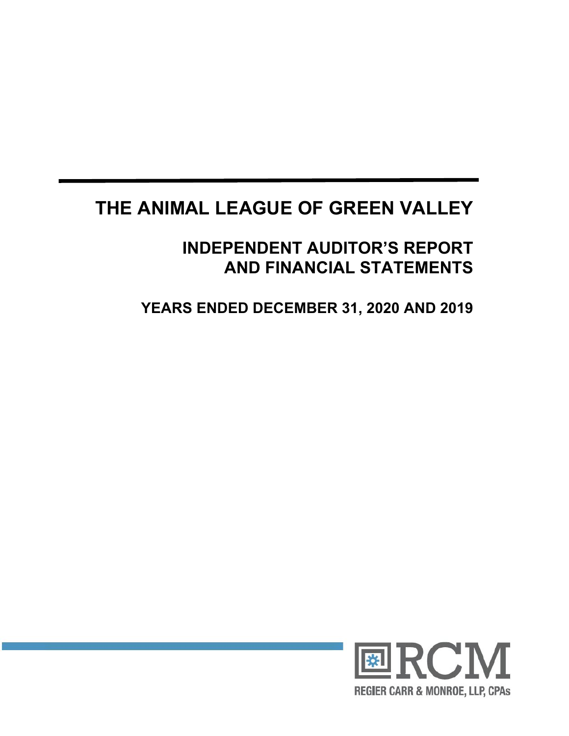# **THE ANIMAL LEAGUE OF GREEN VALLEY**

# **INDEPENDENT AUDITOR'S REPORT AND FINANCIAL STATEMENTS**

**YEARS ENDED DECEMBER 31, 2020 AND 2019** 

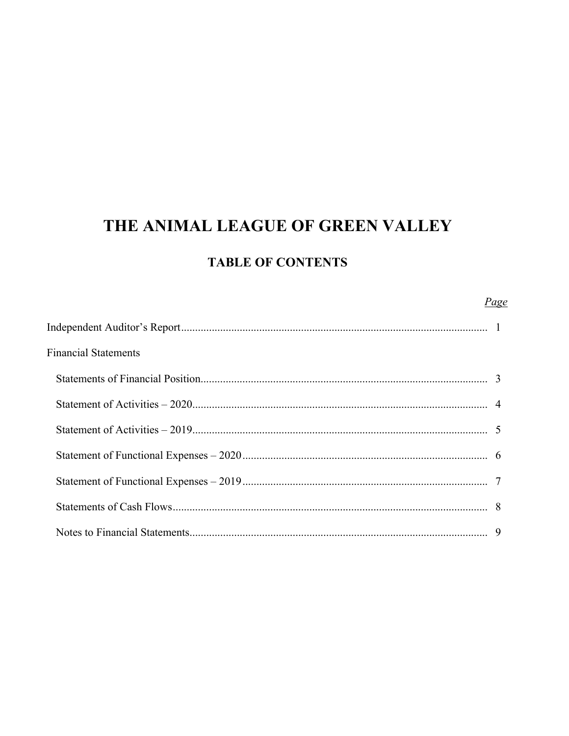# THE ANIMAL LEAGUE OF GREEN VALLEY

## **TABLE OF CONTENTS**

## Page

| <b>Financial Statements</b> |  |
|-----------------------------|--|
|                             |  |
|                             |  |
|                             |  |
|                             |  |
|                             |  |
|                             |  |
|                             |  |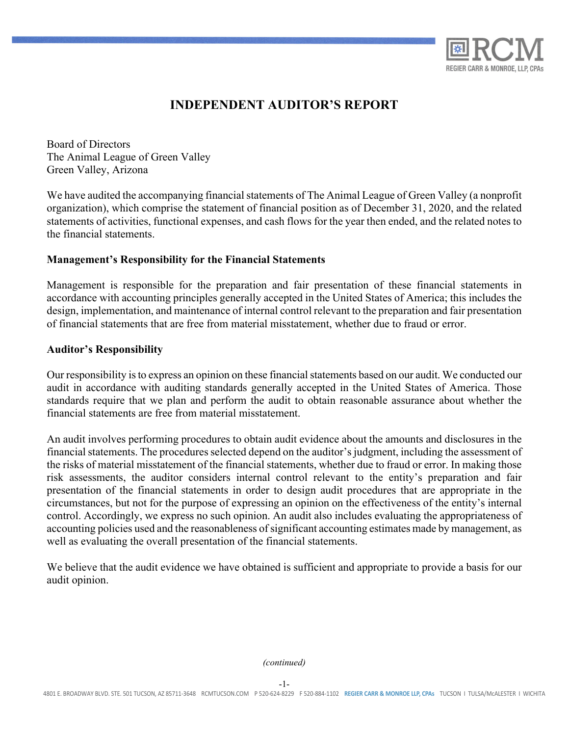

## **INDEPENDENT AUDITOR'S REPORT**

Board of Directors The Animal League of Green Valley Green Valley, Arizona

We have audited the accompanying financial statements of The Animal League of Green Valley (a nonprofit organization), which comprise the statement of financial position as of December 31, 2020, and the related statements of activities, functional expenses, and cash flows for the year then ended, and the related notes to the financial statements.

#### **Management's Responsibility for the Financial Statements**

Management is responsible for the preparation and fair presentation of these financial statements in accordance with accounting principles generally accepted in the United States of America; this includes the design, implementation, and maintenance of internal control relevant to the preparation and fair presentation of financial statements that are free from material misstatement, whether due to fraud or error.

#### **Auditor's Responsibility**

Our responsibility is to express an opinion on these financial statements based on our audit. We conducted our audit in accordance with auditing standards generally accepted in the United States of America. Those standards require that we plan and perform the audit to obtain reasonable assurance about whether the financial statements are free from material misstatement.

An audit involves performing procedures to obtain audit evidence about the amounts and disclosures in the financial statements. The procedures selected depend on the auditor's judgment, including the assessment of the risks of material misstatement of the financial statements, whether due to fraud or error. In making those risk assessments, the auditor considers internal control relevant to the entity's preparation and fair presentation of the financial statements in order to design audit procedures that are appropriate in the circumstances, but not for the purpose of expressing an opinion on the effectiveness of the entity's internal control. Accordingly, we express no such opinion. An audit also includes evaluating the appropriateness of accounting policies used and the reasonableness of significant accounting estimates made by management, as well as evaluating the overall presentation of the financial statements.

We believe that the audit evidence we have obtained is sufficient and appropriate to provide a basis for our audit opinion.

#### *(continued)*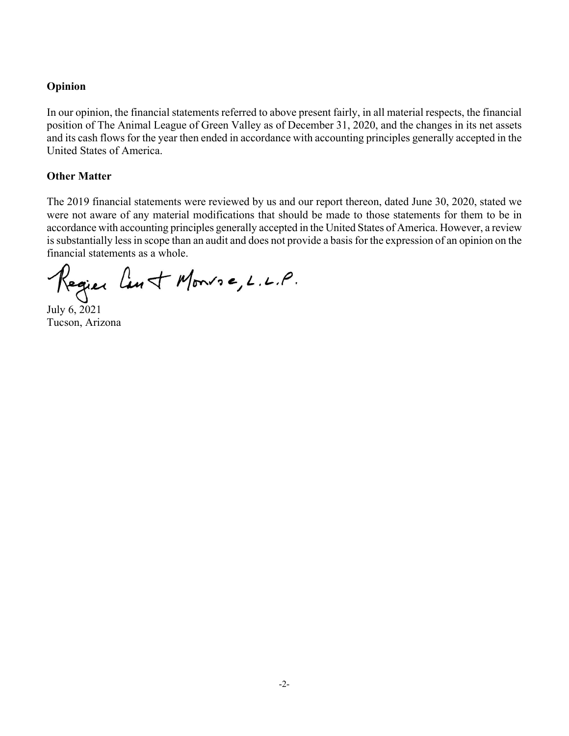## **Opinion**

In our opinion, the financial statements referred to above present fairly, in all material respects, the financial position of The Animal League of Green Valley as of December 31, 2020, and the changes in its net assets and its cash flows for the year then ended in accordance with accounting principles generally accepted in the United States of America.

## **Other Matter**

The 2019 financial statements were reviewed by us and our report thereon, dated June 30, 2020, stated we were not aware of any material modifications that should be made to those statements for them to be in accordance with accounting principles generally accepted in the United States of America. However, a review is substantially less in scope than an audit and does not provide a basis for the expression of an opinion on the financial statements as a whole.

Regier Lant Monvie, L.L.P.

July 6, 2021 Tucson, Arizona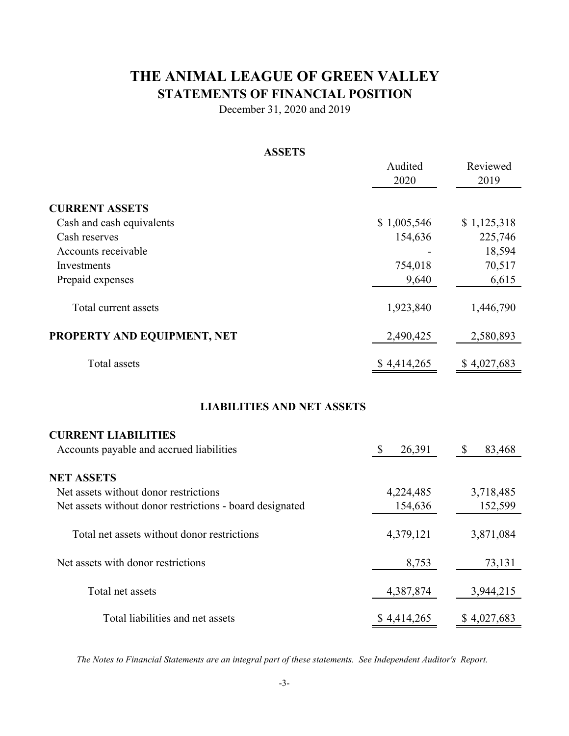## **THE ANIMAL LEAGUE OF GREEN VALLEY STATEMENTS OF FINANCIAL POSITION**

December 31, 2020 and 2019

| <b>ASSETS</b>                                            |                        |                         |
|----------------------------------------------------------|------------------------|-------------------------|
|                                                          | Audited<br>2020        | Reviewed<br>2019        |
| <b>CURRENT ASSETS</b>                                    |                        |                         |
| Cash and cash equivalents                                | \$1,005,546            | \$1,125,318             |
| Cash reserves                                            | 154,636                | 225,746                 |
| Accounts receivable                                      |                        | 18,594                  |
| Investments                                              | 754,018                | 70,517                  |
| Prepaid expenses                                         | 9,640                  | 6,615                   |
| Total current assets                                     | 1,923,840              | 1,446,790               |
| PROPERTY AND EQUIPMENT, NET                              | 2,490,425              | 2,580,893               |
| <b>Total</b> assets                                      | \$4,414,265            | \$4,027,683             |
| <b>LIABILITIES AND NET ASSETS</b>                        |                        |                         |
| <b>CURRENT LIABILITIES</b>                               |                        |                         |
| Accounts payable and accrued liabilities                 | 26,391<br>$\mathbb{S}$ | $\mathcal{S}$<br>83,468 |
| <b>NET ASSETS</b>                                        |                        |                         |
| Net assets without donor restrictions                    | 4,224,485              | 3,718,485               |
| Net assets without donor restrictions - board designated | 154,636                | 152,599                 |
| Total net assets without donor restrictions              | 4,379,121              | 3,871,084               |
| Net assets with donor restrictions                       | 8,753                  | 73,131                  |

Total net assets 4,387,874 3,944,215 Total liabilities and net assets  $$4,414,265$   $$4,027,683$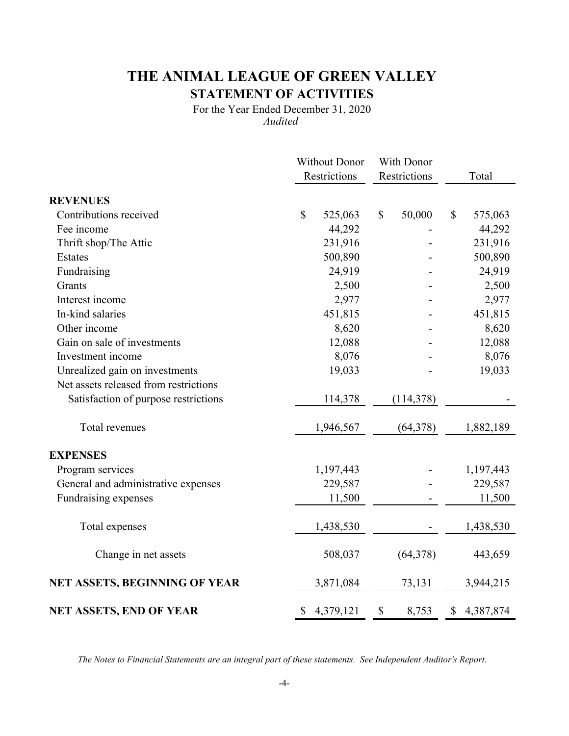## **THE ANIMAL LEAGUE OF GREEN VALLEY STATEMENT OF ACTIVITIES**

For the Year Ended December 31, 2020 *Audited*

|                                       | <b>Without Donor</b> | With Donor   |                                        |
|---------------------------------------|----------------------|--------------|----------------------------------------|
|                                       | Restrictions         | Restrictions | Total                                  |
| <b>REVENUES</b>                       |                      |              |                                        |
| Contributions received                | \$<br>525,063        | 50,000<br>\$ | $\mathbb{S}$<br>575,063                |
| Fee income                            | 44,292               |              | 44,292                                 |
| Thrift shop/The Attic                 | 231,916              |              | 231,916                                |
| <b>Estates</b>                        | 500,890              |              | 500,890                                |
| Fundraising                           | 24,919               |              | 24,919                                 |
| Grants                                | 2,500                |              | 2,500                                  |
| Interest income                       | 2,977                |              | 2,977                                  |
| In-kind salaries                      | 451,815              |              | 451,815                                |
| Other income                          | 8,620                |              | 8,620                                  |
| Gain on sale of investments           | 12,088               |              | 12,088                                 |
| Investment income                     | 8,076                |              | 8,076                                  |
| Unrealized gain on investments        | 19,033               |              | 19,033                                 |
| Net assets released from restrictions |                      |              |                                        |
| Satisfaction of purpose restrictions  | 114,378              | (114,378)    |                                        |
| Total revenues                        | 1,946,567            | (64, 378)    | 1,882,189                              |
| <b>EXPENSES</b>                       |                      |              |                                        |
| Program services                      | 1,197,443            |              | 1,197,443                              |
| General and administrative expenses   | 229,587              |              | 229,587                                |
| Fundraising expenses                  | 11,500               |              | 11,500                                 |
| Total expenses                        | 1,438,530            |              | 1,438,530                              |
| Change in net assets                  | 508,037              | (64, 378)    | 443,659                                |
| <b>NET ASSETS, BEGINNING OF YEAR</b>  | 3,871,084            | 73,131       | 3,944,215                              |
| <b>NET ASSETS, END OF YEAR</b>        | \$<br>4,379,121      | \$<br>8,753  | $\boldsymbol{\mathsf{S}}$<br>4,387,874 |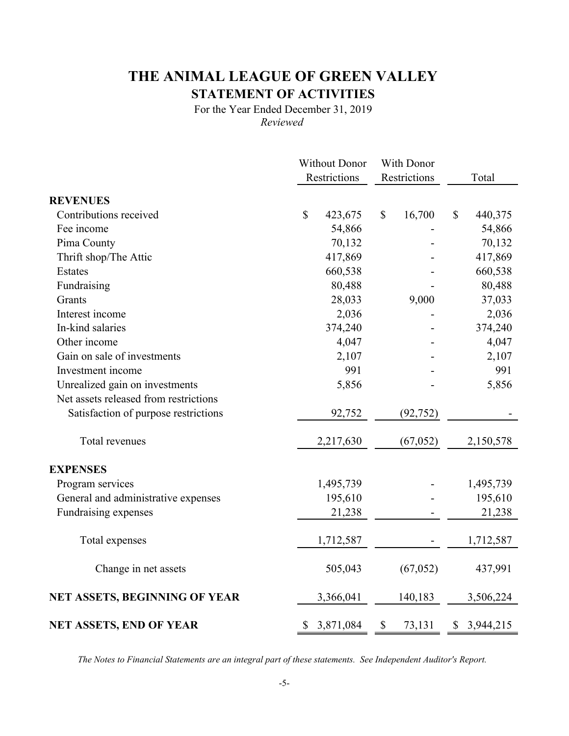## **THE ANIMAL LEAGUE OF GREEN VALLEY STATEMENT OF ACTIVITIES**

For the Year Ended December 31, 2019 *Reviewed*

|                                       | <b>Without Donor</b>    | With Donor             |                         |
|---------------------------------------|-------------------------|------------------------|-------------------------|
|                                       | Restrictions            | Restrictions           | Total                   |
| <b>REVENUES</b>                       |                         |                        |                         |
| Contributions received                | $\mathbb{S}$<br>423,675 | $\mathbb{S}$<br>16,700 | $\mathbb{S}$<br>440,375 |
| Fee income                            | 54,866                  |                        | 54,866                  |
| Pima County                           | 70,132                  |                        | 70,132                  |
| Thrift shop/The Attic                 | 417,869                 |                        | 417,869                 |
| Estates                               | 660,538                 |                        | 660,538                 |
| Fundraising                           | 80,488                  |                        | 80,488                  |
| Grants                                | 28,033                  | 9,000                  | 37,033                  |
| Interest income                       | 2,036                   |                        | 2,036                   |
| In-kind salaries                      | 374,240                 |                        | 374,240                 |
| Other income                          | 4,047                   |                        | 4,047                   |
| Gain on sale of investments           | 2,107                   |                        | 2,107                   |
| Investment income                     | 991                     |                        | 991                     |
| Unrealized gain on investments        | 5,856                   |                        | 5,856                   |
| Net assets released from restrictions |                         |                        |                         |
| Satisfaction of purpose restrictions  | 92,752                  | (92, 752)              |                         |
| Total revenues                        | 2,217,630               | (67, 052)              | 2,150,578               |
| <b>EXPENSES</b>                       |                         |                        |                         |
| Program services                      | 1,495,739               |                        | 1,495,739               |
| General and administrative expenses   | 195,610                 |                        | 195,610                 |
| Fundraising expenses                  | 21,238                  |                        | 21,238                  |
| Total expenses                        | 1,712,587               |                        | 1,712,587               |
| Change in net assets                  | 505,043                 | (67, 052)              | 437,991                 |
| NET ASSETS, BEGINNING OF YEAR         | 3,366,041               | 140,183                | 3,506,224               |
| <b>NET ASSETS, END OF YEAR</b>        | 3,871,084<br>\$         | \$<br>73,131           | \$3,944,215             |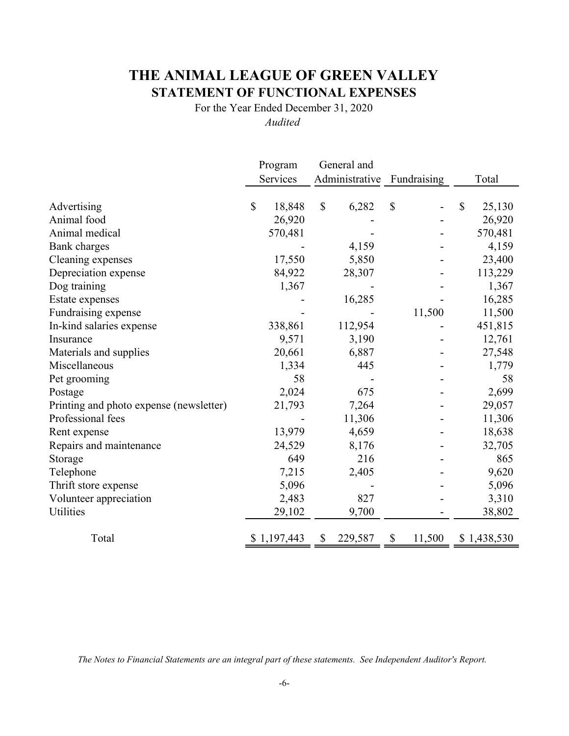## **THE ANIMAL LEAGUE OF GREEN VALLEY STATEMENT OF FUNCTIONAL EXPENSES**

For the Year Ended December 31, 2020

*Audited*

|                                         |              | Program     | General and    |         |              |        |              |             |
|-----------------------------------------|--------------|-------------|----------------|---------|--------------|--------|--------------|-------------|
|                                         |              | Services    | Administrative |         | Fundraising  |        |              | Total       |
|                                         |              |             |                |         |              |        |              |             |
| Advertising                             | $\mathbb{S}$ | 18,848      | $\mathbb{S}$   | 6,282   | $\mathbb{S}$ |        | $\mathbb{S}$ | 25,130      |
| Animal food                             |              | 26,920      |                |         |              |        |              | 26,920      |
| Animal medical                          |              | 570,481     |                |         |              |        |              | 570,481     |
| <b>Bank</b> charges                     |              |             |                | 4,159   |              |        |              | 4,159       |
| Cleaning expenses                       |              | 17,550      |                | 5,850   |              |        |              | 23,400      |
| Depreciation expense                    |              | 84,922      |                | 28,307  |              |        |              | 113,229     |
| Dog training                            |              | 1,367       |                |         |              |        |              | 1,367       |
| Estate expenses                         |              |             |                | 16,285  |              |        |              | 16,285      |
| Fundraising expense                     |              |             |                |         |              | 11,500 |              | 11,500      |
| In-kind salaries expense                |              | 338,861     |                | 112,954 |              |        |              | 451,815     |
| Insurance                               |              | 9,571       |                | 3,190   |              |        |              | 12,761      |
| Materials and supplies                  |              | 20,661      |                | 6,887   |              |        |              | 27,548      |
| Miscellaneous                           |              | 1,334       |                | 445     |              |        |              | 1,779       |
| Pet grooming                            |              | 58          |                |         |              |        |              | 58          |
| Postage                                 |              | 2,024       |                | 675     |              |        |              | 2,699       |
| Printing and photo expense (newsletter) |              | 21,793      |                | 7,264   |              |        |              | 29,057      |
| Professional fees                       |              |             |                | 11,306  |              |        |              | 11,306      |
| Rent expense                            |              | 13,979      |                | 4,659   |              |        |              | 18,638      |
| Repairs and maintenance                 |              | 24,529      |                | 8,176   |              |        |              | 32,705      |
| Storage                                 |              | 649         |                | 216     |              |        |              | 865         |
| Telephone                               |              | 7,215       |                | 2,405   |              |        |              | 9,620       |
| Thrift store expense                    |              | 5,096       |                |         |              |        |              | 5,096       |
| Volunteer appreciation                  |              | 2,483       |                | 827     |              |        |              | 3,310       |
| <b>Utilities</b>                        |              | 29,102      |                | 9,700   |              |        |              | 38,802      |
| Total                                   |              | \$1,197,443 | \$             | 229,587 | \$           | 11,500 |              | \$1,438,530 |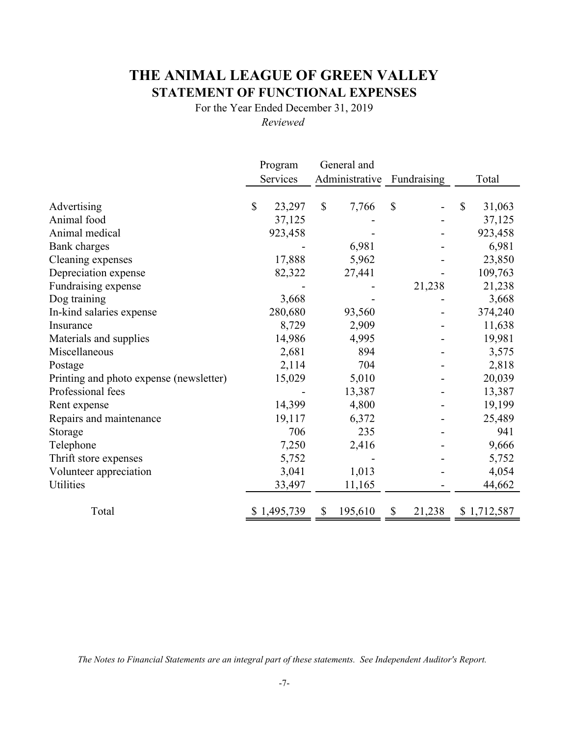## **THE ANIMAL LEAGUE OF GREEN VALLEY STATEMENT OF FUNCTIONAL EXPENSES**

For the Year Ended December 31, 2019 *Reviewed*

|                                         | Program  |             | General and   |                |    |             |              |             |
|-----------------------------------------|----------|-------------|---------------|----------------|----|-------------|--------------|-------------|
|                                         | Services |             |               | Administrative |    | Fundraising |              | Total       |
| Advertising                             | \$       | 23,297      | $\mathcal{S}$ | 7,766          | \$ |             | $\mathbb{S}$ | 31,063      |
| Animal food                             |          | 37,125      |               |                |    |             |              | 37,125      |
| Animal medical                          |          | 923,458     |               |                |    |             |              | 923,458     |
| <b>Bank</b> charges                     |          |             |               | 6,981          |    |             |              | 6,981       |
| Cleaning expenses                       |          | 17,888      |               | 5,962          |    |             |              | 23,850      |
| Depreciation expense                    |          | 82,322      |               | 27,441         |    |             |              | 109,763     |
| Fundraising expense                     |          |             |               |                |    | 21,238      |              | 21,238      |
| Dog training                            |          | 3,668       |               |                |    |             |              | 3,668       |
| In-kind salaries expense                |          | 280,680     |               | 93,560         |    |             |              | 374,240     |
| Insurance                               |          | 8,729       |               | 2,909          |    |             |              | 11,638      |
| Materials and supplies                  |          | 14,986      |               | 4,995          |    |             |              | 19,981      |
| Miscellaneous                           |          | 2,681       |               | 894            |    |             |              | 3,575       |
| Postage                                 |          | 2,114       |               | 704            |    |             |              | 2,818       |
| Printing and photo expense (newsletter) |          | 15,029      |               | 5,010          |    |             |              | 20,039      |
| Professional fees                       |          |             |               | 13,387         |    |             |              | 13,387      |
| Rent expense                            |          | 14,399      |               | 4,800          |    |             |              | 19,199      |
| Repairs and maintenance                 |          | 19,117      |               | 6,372          |    |             |              | 25,489      |
| Storage                                 |          | 706         |               | 235            |    |             |              | 941         |
| Telephone                               |          | 7,250       |               | 2,416          |    |             |              | 9,666       |
| Thrift store expenses                   |          | 5,752       |               |                |    |             |              | 5,752       |
| Volunteer appreciation                  |          | 3,041       |               | 1,013          |    |             |              | 4,054       |
| Utilities                               |          | 33,497      |               | 11,165         |    |             |              | 44,662      |
| Total                                   |          | \$1,495,739 | \$            | 195,610        | \$ | 21,238      |              | \$1,712,587 |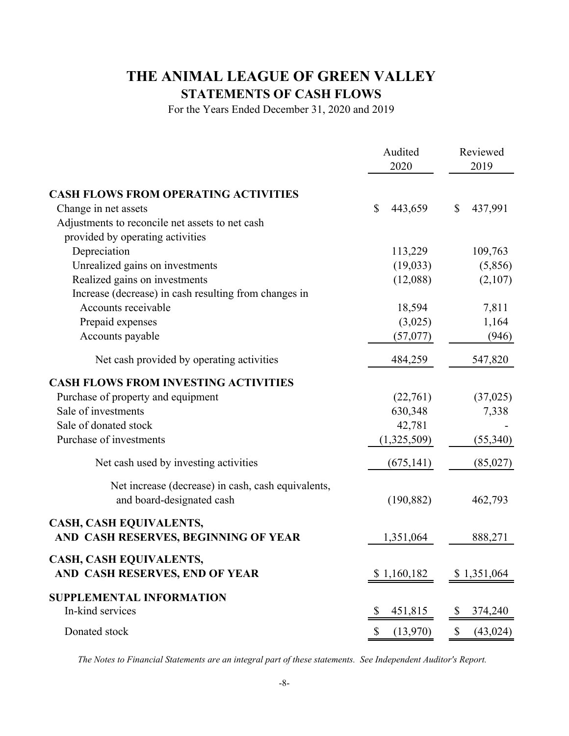## **STATEMENTS OF CASH FLOWS THE ANIMAL LEAGUE OF GREEN VALLEY**

For the Years Ended December 31, 2020 and 2019

|                                                                 | Audited<br>2020 | Reviewed<br>2019          |  |  |
|-----------------------------------------------------------------|-----------------|---------------------------|--|--|
| <b>CASH FLOWS FROM OPERATING ACTIVITIES</b>                     |                 |                           |  |  |
| Change in net assets                                            | \$<br>443,659   | $\mathbb{S}$<br>437,991   |  |  |
| Adjustments to reconcile net assets to net cash                 |                 |                           |  |  |
| provided by operating activities                                |                 |                           |  |  |
| Depreciation                                                    | 113,229         | 109,763                   |  |  |
| Unrealized gains on investments                                 | (19,033)        | (5,856)                   |  |  |
| Realized gains on investments                                   | (12,088)        | (2,107)                   |  |  |
| Increase (decrease) in cash resulting from changes in           |                 |                           |  |  |
| Accounts receivable                                             | 18,594          | 7,811                     |  |  |
| Prepaid expenses                                                | (3,025)         | 1,164                     |  |  |
| Accounts payable                                                | (57,077)        | (946)                     |  |  |
| Net cash provided by operating activities                       | 484,259         | 547,820                   |  |  |
| <b>CASH FLOWS FROM INVESTING ACTIVITIES</b>                     |                 |                           |  |  |
| Purchase of property and equipment                              | (22,761)        | (37, 025)                 |  |  |
| Sale of investments                                             | 630,348         | 7,338                     |  |  |
| Sale of donated stock                                           | 42,781          |                           |  |  |
| Purchase of investments                                         | (1,325,509)     | (55,340)                  |  |  |
| Net cash used by investing activities                           | (675, 141)      | (85,027)                  |  |  |
| Net increase (decrease) in cash, cash equivalents,              |                 |                           |  |  |
| and board-designated cash                                       | (190, 882)      | 462,793                   |  |  |
| CASH, CASH EQUIVALENTS,<br>AND CASH RESERVES, BEGINNING OF YEAR | 1,351,064       | 888,271                   |  |  |
| <b>CASH, CASH EQUIVALENTS,</b>                                  |                 |                           |  |  |
| AND CASH RESERVES, END OF YEAR                                  | \$1,160,182     | \$1,351,064               |  |  |
| <b>SUPPLEMENTAL INFORMATION</b>                                 |                 |                           |  |  |
| In-kind services                                                | 451,815<br>\$   | 374,240<br>\$             |  |  |
| Donated stock                                                   | (13,970)<br>\$  | (43, 024)<br>$\mathbb{S}$ |  |  |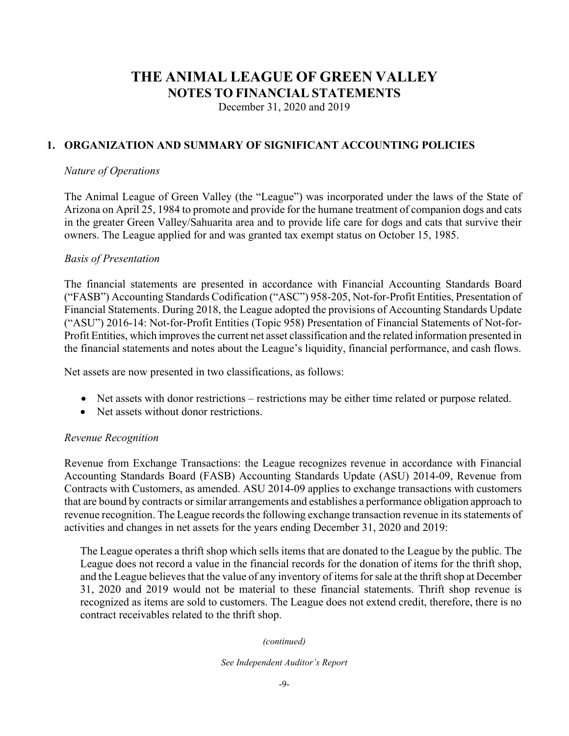## **THE ANIMAL LEAGUE OF GREEN VALLEY NOTES TO FINANCIAL STATEMENTS**

December 31, 2020 and 2019

## **1. ORGANIZATION AND SUMMARY OF SIGNIFICANT ACCOUNTING POLICIES**

#### *Nature of Operations*

The Animal League of Green Valley (the "League") was incorporated under the laws of the State of Arizona on April 25, 1984 to promote and provide for the humane treatment of companion dogs and cats in the greater Green Valley/Sahuarita area and to provide life care for dogs and cats that survive their owners. The League applied for and was granted tax exempt status on October 15, 1985.

## *Basis of Presentation*

The financial statements are presented in accordance with Financial Accounting Standards Board ("FASB") Accounting Standards Codification ("ASC") 958-205, Not-for-Profit Entities, Presentation of Financial Statements. During 2018, the League adopted the provisions of Accounting Standards Update ("ASU") 2016-14: Not-for-Profit Entities (Topic 958) Presentation of Financial Statements of Not-for-Profit Entities, which improves the current net asset classification and the related information presented in the financial statements and notes about the League's liquidity, financial performance, and cash flows.

Net assets are now presented in two classifications, as follows:

- Net assets with donor restrictions restrictions may be either time related or purpose related.
- Net assets without donor restrictions.

## *Revenue Recognition*

Revenue from Exchange Transactions: the League recognizes revenue in accordance with Financial Accounting Standards Board (FASB) Accounting Standards Update (ASU) 2014-09, Revenue from Contracts with Customers, as amended. ASU 2014-09 applies to exchange transactions with customers that are bound by contracts or similar arrangements and establishes a performance obligation approach to revenue recognition. The League records the following exchange transaction revenue in its statements of activities and changes in net assets for the years ending December 31, 2020 and 2019:

The League operates a thrift shop which sells items that are donated to the League by the public. The League does not record a value in the financial records for the donation of items for the thrift shop, and the League believes that the value of any inventory of items for sale at the thrift shop at December 31, 2020 and 2019 would not be material to these financial statements. Thrift shop revenue is recognized as items are sold to customers. The League does not extend credit, therefore, there is no contract receivables related to the thrift shop.

#### *(continued)*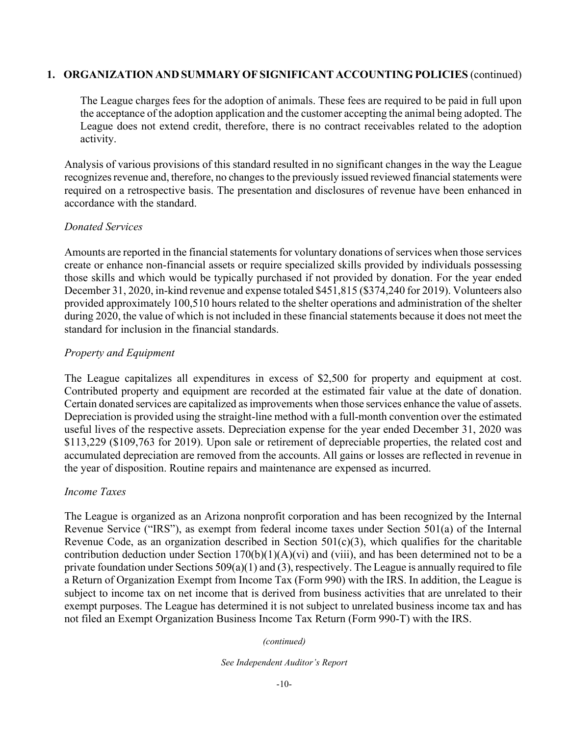The League charges fees for the adoption of animals. These fees are required to be paid in full upon the acceptance of the adoption application and the customer accepting the animal being adopted. The League does not extend credit, therefore, there is no contract receivables related to the adoption activity.

Analysis of various provisions of this standard resulted in no significant changes in the way the League recognizes revenue and, therefore, no changes to the previously issued reviewed financial statements were required on a retrospective basis. The presentation and disclosures of revenue have been enhanced in accordance with the standard.

## *Donated Services*

Amounts are reported in the financial statements for voluntary donations of services when those services create or enhance non-financial assets or require specialized skills provided by individuals possessing those skills and which would be typically purchased if not provided by donation. For the year ended December 31, 2020, in-kind revenue and expense totaled \$451,815 (\$374,240 for 2019). Volunteers also provided approximately 100,510 hours related to the shelter operations and administration of the shelter during 2020, the value of which is not included in these financial statements because it does not meet the standard for inclusion in the financial standards.

## *Property and Equipment*

The League capitalizes all expenditures in excess of \$2,500 for property and equipment at cost. Contributed property and equipment are recorded at the estimated fair value at the date of donation. Certain donated services are capitalized as improvements when those services enhance the value of assets. Depreciation is provided using the straight-line method with a full-month convention over the estimated useful lives of the respective assets. Depreciation expense for the year ended December 31, 2020 was \$113,229 (\$109,763 for 2019). Upon sale or retirement of depreciable properties, the related cost and accumulated depreciation are removed from the accounts. All gains or losses are reflected in revenue in the year of disposition. Routine repairs and maintenance are expensed as incurred.

## *Income Taxes*

The League is organized as an Arizona nonprofit corporation and has been recognized by the Internal Revenue Service ("IRS"), as exempt from federal income taxes under Section 501(a) of the Internal Revenue Code, as an organization described in Section  $501(c)(3)$ , which qualifies for the charitable contribution deduction under Section 170(b)(1)(A)(vi) and (viii), and has been determined not to be a private foundation under Sections 509(a)(1) and (3), respectively. The League is annually required to file a Return of Organization Exempt from Income Tax (Form 990) with the IRS. In addition, the League is subject to income tax on net income that is derived from business activities that are unrelated to their exempt purposes. The League has determined it is not subject to unrelated business income tax and has not filed an Exempt Organization Business Income Tax Return (Form 990-T) with the IRS.

#### *(continued)*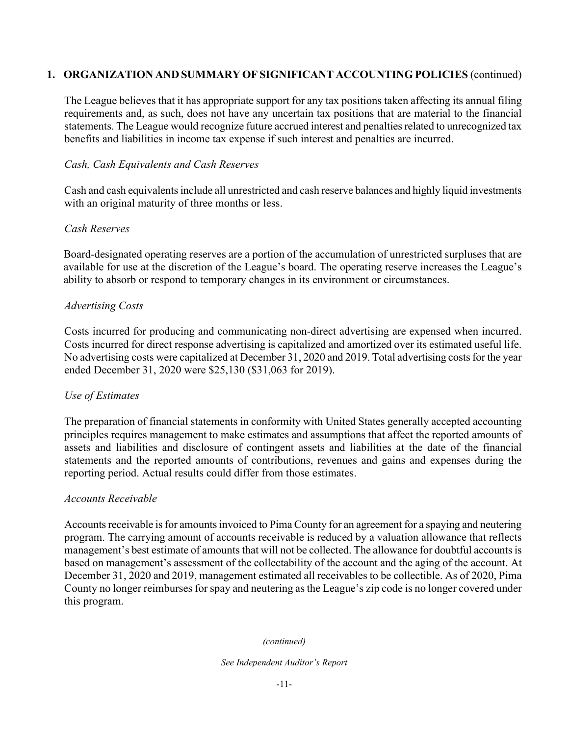The League believes that it has appropriate support for any tax positions taken affecting its annual filing requirements and, as such, does not have any uncertain tax positions that are material to the financial statements. The League would recognize future accrued interest and penalties related to unrecognized tax benefits and liabilities in income tax expense if such interest and penalties are incurred.

## *Cash, Cash Equivalents and Cash Reserves*

Cash and cash equivalents include all unrestricted and cash reserve balances and highly liquid investments with an original maturity of three months or less.

## *Cash Reserves*

Board-designated operating reserves are a portion of the accumulation of unrestricted surpluses that are available for use at the discretion of the League's board. The operating reserve increases the League's ability to absorb or respond to temporary changes in its environment or circumstances.

## *Advertising Costs*

 Costs incurred for producing and communicating non-direct advertising are expensed when incurred. Costs incurred for direct response advertising is capitalized and amortized over its estimated useful life. No advertising costs were capitalized at December 31, 2020 and 2019. Total advertising costs for the year ended December 31, 2020 were \$25,130 (\$31,063 for 2019).

## *Use of Estimates*

 The preparation of financial statements in conformity with United States generally accepted accounting principles requires management to make estimates and assumptions that affect the reported amounts of assets and liabilities and disclosure of contingent assets and liabilities at the date of the financial statements and the reported amounts of contributions, revenues and gains and expenses during the reporting period. Actual results could differ from those estimates.

## *Accounts Receivable*

 Accounts receivable is for amounts invoiced to Pima County for an agreement for a spaying and neutering program. The carrying amount of accounts receivable is reduced by a valuation allowance that reflects management's best estimate of amounts that will not be collected. The allowance for doubtful accounts is based on management's assessment of the collectability of the account and the aging of the account. At December 31, 2020 and 2019, management estimated all receivables to be collectible. As of 2020, Pima County no longer reimburses for spay and neutering as the League's zip code is no longer covered under this program.

#### *(continued)*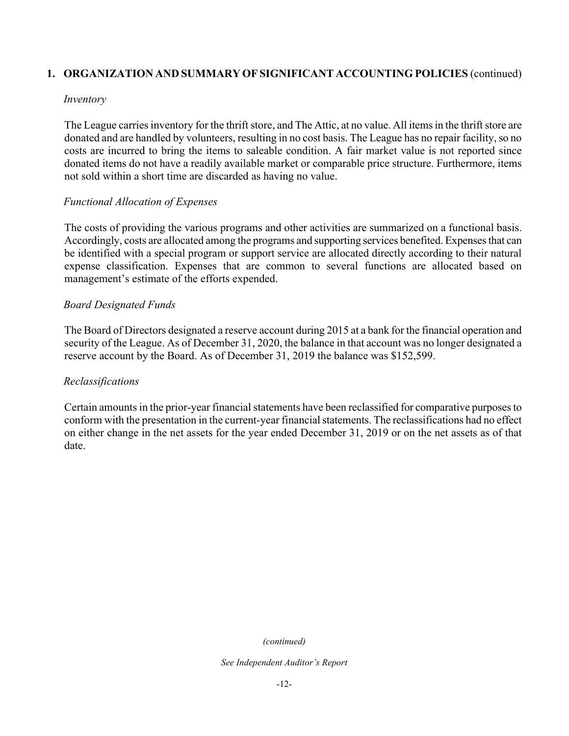## *Inventory*

 The League carries inventory for the thrift store, and The Attic, at no value. All items in the thrift store are donated and are handled by volunteers, resulting in no cost basis. The League has no repair facility, so no costs are incurred to bring the items to saleable condition. A fair market value is not reported since donated items do not have a readily available market or comparable price structure. Furthermore, items not sold within a short time are discarded as having no value.

## *Functional Allocation of Expenses*

 The costs of providing the various programs and other activities are summarized on a functional basis. Accordingly, costs are allocated among the programs and supporting services benefited. Expenses that can be identified with a special program or support service are allocated directly according to their natural expense classification. Expenses that are common to several functions are allocated based on management's estimate of the efforts expended.

## *Board Designated Funds*

The Board of Directors designated a reserve account during 2015 at a bank for the financial operation and security of the League. As of December 31, 2020, the balance in that account was no longer designated a reserve account by the Board. As of December 31, 2019 the balance was \$152,599.

## *Reclassifications*

Certain amounts in the prior-year financial statements have been reclassified for comparative purposes to conform with the presentation in the current-year financial statements. The reclassifications had no effect on either change in the net assets for the year ended December 31, 2019 or on the net assets as of that date.

*(continued)*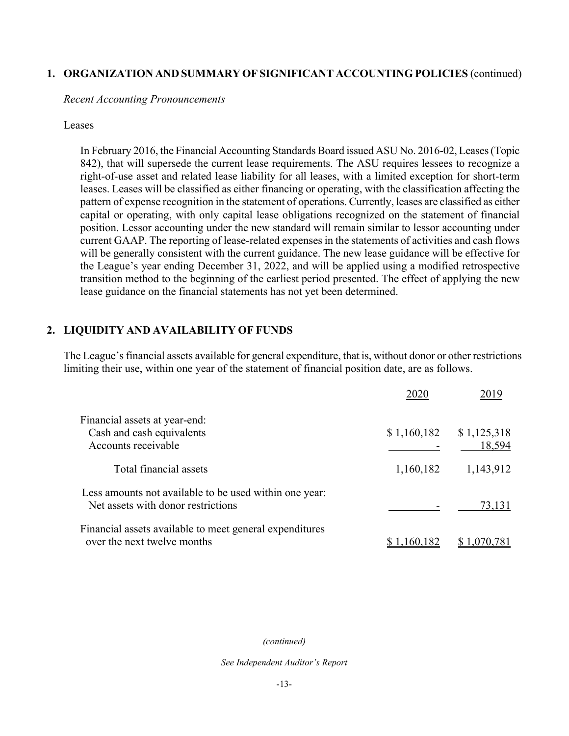*Recent Accounting Pronouncements* 

#### Leases

In February 2016, the Financial Accounting Standards Board issued ASU No. 2016-02, Leases (Topic 842), that will supersede the current lease requirements. The ASU requires lessees to recognize a right-of-use asset and related lease liability for all leases, with a limited exception for short-term leases. Leases will be classified as either financing or operating, with the classification affecting the pattern of expense recognition in the statement of operations. Currently, leases are classified as either capital or operating, with only capital lease obligations recognized on the statement of financial position. Lessor accounting under the new standard will remain similar to lessor accounting under current GAAP. The reporting of lease-related expenses in the statements of activities and cash flows will be generally consistent with the current guidance. The new lease guidance will be effective for the League's year ending December 31, 2022, and will be applied using a modified retrospective transition method to the beginning of the earliest period presented. The effect of applying the new lease guidance on the financial statements has not yet been determined.

## **2. LIQUIDITY AND AVAILABILITY OF FUNDS**

The League's financial assets available for general expenditure, that is, without donor or other restrictions limiting their use, within one year of the statement of financial position date, are as follows.

|                                                                                              | 2020        |             |
|----------------------------------------------------------------------------------------------|-------------|-------------|
| Financial assets at year-end:                                                                |             |             |
| Cash and cash equivalents                                                                    | \$1,160,182 | \$1,125,318 |
| Accounts receivable                                                                          |             | 18,594      |
| Total financial assets                                                                       | 1,160,182   | 1,143,912   |
| Less amounts not available to be used within one year:<br>Net assets with donor restrictions |             | 73,131      |
| Financial assets available to meet general expenditures<br>over the next twelve months       | ,160,182    | \$1,070,781 |

#### *(continued)*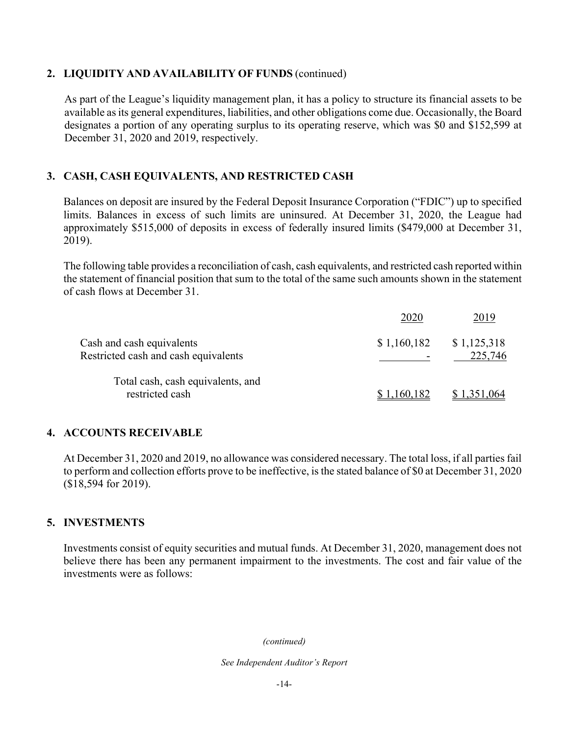## **2. LIQUIDITY AND AVAILABILITY OF FUNDS** (continued)

As part of the League's liquidity management plan, it has a policy to structure its financial assets to be available as its general expenditures, liabilities, and other obligations come due. Occasionally, the Board designates a portion of any operating surplus to its operating reserve, which was \$0 and \$152,599 at December 31, 2020 and 2019, respectively.

## **3. CASH, CASH EQUIVALENTS, AND RESTRICTED CASH**

Balances on deposit are insured by the Federal Deposit Insurance Corporation ("FDIC") up to specified limits. Balances in excess of such limits are uninsured. At December 31, 2020, the League had approximately \$515,000 of deposits in excess of federally insured limits (\$479,000 at December 31, 2019).

The following table provides a reconciliation of cash, cash equivalents, and restricted cash reported within the statement of financial position that sum to the total of the same such amounts shown in the statement of cash flows at December 31.

|                                                                   |             | 2019                   |
|-------------------------------------------------------------------|-------------|------------------------|
| Cash and cash equivalents<br>Restricted cash and cash equivalents | \$1,160,182 | \$1,125,318<br>225,746 |
| Total cash, cash equivalents, and<br>restricted cash              | .160,182    |                        |

## **4. ACCOUNTS RECEIVABLE**

At December 31, 2020 and 2019, no allowance was considered necessary. The total loss, if all parties fail to perform and collection efforts prove to be ineffective, is the stated balance of \$0 at December 31, 2020 (\$18,594 for 2019).

## **5. INVESTMENTS**

Investments consist of equity securities and mutual funds. At December 31, 2020, management does not believe there has been any permanent impairment to the investments. The cost and fair value of the investments were as follows:

*(continued)*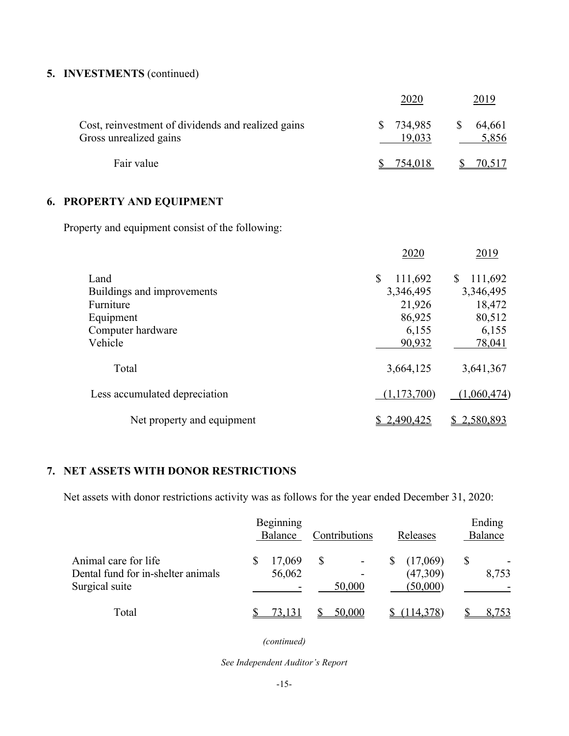## **5. INVESTMENTS** (continued)

|                                                                              | 2020                    | 2019                  |
|------------------------------------------------------------------------------|-------------------------|-----------------------|
| Cost, reinvestment of dividends and realized gains<br>Gross unrealized gains | \$<br>734,985<br>19,033 | \$<br>64,661<br>5,856 |
| Fair value                                                                   | 754,018<br>$\mathbf S$  | 70,517                |
| <b>6. PROPERTY AND EQUIPMENT</b>                                             |                         |                       |
| Property and equipment consist of the following:                             |                         |                       |
|                                                                              | 2020                    | <u>2019</u>           |
| Land                                                                         | \$<br>111,692           | 111,692<br>\$         |
| Buildings and improvements                                                   | 3,346,495               | 3,346,495             |
| Furniture                                                                    | 21,926                  | 18,472                |
| Equipment                                                                    | 86,925                  | 80,512                |
| Computer hardware                                                            | 6,155                   | 6,155                 |
| Vehicle                                                                      | 90,932                  | 78,041                |

Vehicle 90,932 78,041

Total 3,664,125 3,641,367

Net property and equipment  $\frac{$ 2,490,425}{$ 2,490,425}$  \$ 2,580,893

Less accumulated depreciation (1,173,700) (1,060,474)

## **7. NET ASSETS WITH DONOR RESTRICTIONS**

Net assets with donor restrictions activity was as follows for the year ended December 31, 2020:

|                                                                              | Beginning<br>Balance |              | Contributions                                        | Releases |                                  | Ending<br>Balance |       |
|------------------------------------------------------------------------------|----------------------|--------------|------------------------------------------------------|----------|----------------------------------|-------------------|-------|
| Animal care for life<br>Dental fund for in-shelter animals<br>Surgical suite | 17,069<br>56,062     | $\mathbb{S}$ | $\overline{\phantom{a}}$<br>$\overline{a}$<br>50,000 |          | (17,069)<br>(47,309)<br>(50,000) | \$                | 8,753 |
| Total                                                                        | 73,131               |              | 50,000                                               |          | (114,378)                        |                   | 8,753 |

#### *(continued)*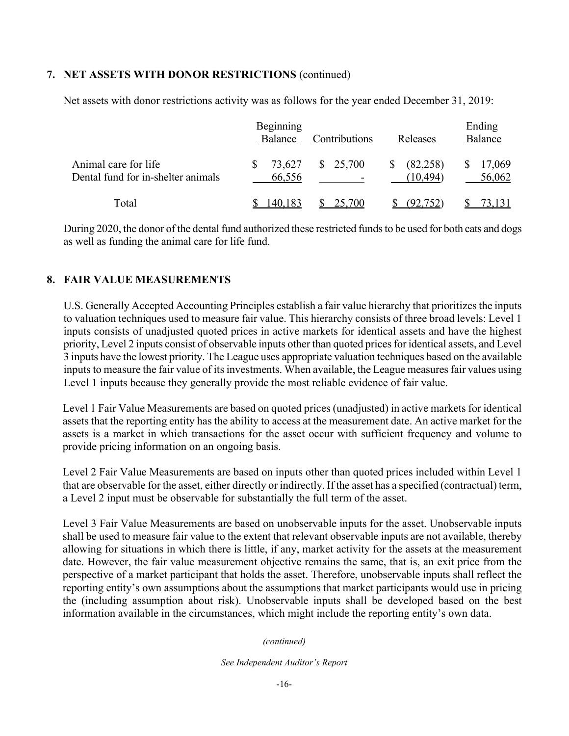## **7. NET ASSETS WITH DONOR RESTRICTIONS** (continued)

Net assets with donor restrictions activity was as follows for the year ended December 31, 2019:

|                                                            | Beginning<br>Balance<br>Contributions |                  |  |                                      |              | Releases              |  | Ending<br>Balance |  |
|------------------------------------------------------------|---------------------------------------|------------------|--|--------------------------------------|--------------|-----------------------|--|-------------------|--|
| Animal care for life<br>Dental fund for in-shelter animals |                                       | 73,627<br>66,556 |  | \$25,700<br>$\overline{\phantom{a}}$ | $\mathbb{S}$ | (82, 258)<br>(10.494) |  | 17,069<br>56,062  |  |
| Total                                                      |                                       |                  |  | 25.700                               |              |                       |  |                   |  |

During 2020, the donor of the dental fund authorized these restricted funds to be used for both cats and dogs as well as funding the animal care for life fund.

## **8. FAIR VALUE MEASUREMENTS**

U.S. Generally Accepted Accounting Principles establish a fair value hierarchy that prioritizes the inputs to valuation techniques used to measure fair value. This hierarchy consists of three broad levels: Level 1 inputs consists of unadjusted quoted prices in active markets for identical assets and have the highest priority, Level 2 inputs consist of observable inputs other than quoted prices for identical assets, and Level 3 inputs have the lowest priority. The League uses appropriate valuation techniques based on the available inputs to measure the fair value of its investments. When available, the League measures fair values using Level 1 inputs because they generally provide the most reliable evidence of fair value.

Level 1 Fair Value Measurements are based on quoted prices (unadjusted) in active markets for identical assets that the reporting entity has the ability to access at the measurement date. An active market for the assets is a market in which transactions for the asset occur with sufficient frequency and volume to provide pricing information on an ongoing basis.

Level 2 Fair Value Measurements are based on inputs other than quoted prices included within Level 1 that are observable for the asset, either directly or indirectly. If the asset has a specified (contractual) term, a Level 2 input must be observable for substantially the full term of the asset.

Level 3 Fair Value Measurements are based on unobservable inputs for the asset. Unobservable inputs shall be used to measure fair value to the extent that relevant observable inputs are not available, thereby allowing for situations in which there is little, if any, market activity for the assets at the measurement date. However, the fair value measurement objective remains the same, that is, an exit price from the perspective of a market participant that holds the asset. Therefore, unobservable inputs shall reflect the reporting entity's own assumptions about the assumptions that market participants would use in pricing the (including assumption about risk). Unobservable inputs shall be developed based on the best information available in the circumstances, which might include the reporting entity's own data.

#### *(continued)*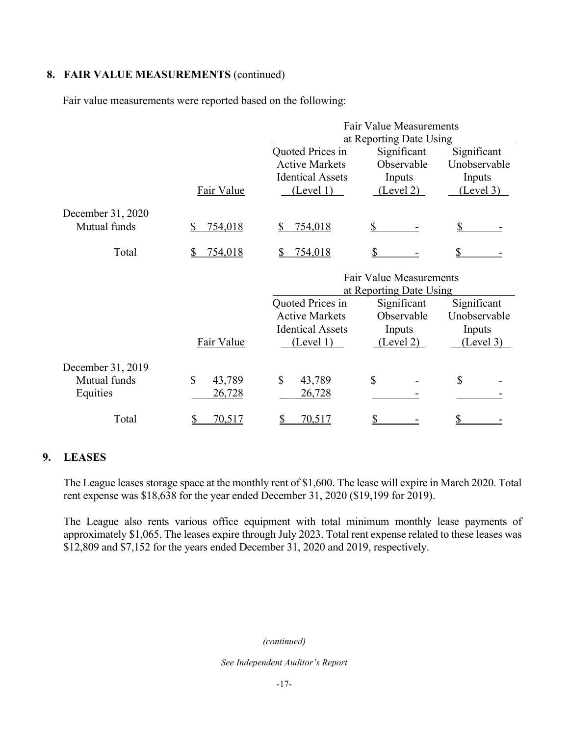## **8. FAIR VALUE MEASUREMENTS** (continued)

Fair value measurements were reported based on the following:

|                                   |                        | <b>Fair Value Measurements</b><br>at Reporting Date Using |                           |                             |
|-----------------------------------|------------------------|-----------------------------------------------------------|---------------------------|-----------------------------|
|                                   |                        | Quoted Prices in<br><b>Active Markets</b>                 | Significant<br>Observable | Significant<br>Unobservable |
|                                   | Fair Value             | <b>Identical Assets</b><br>(Level 1)                      | Inputs<br>(Level 2)       | Inputs<br>(Level 3)         |
| December 31, 2020<br>Mutual funds | 754,018<br>\$          | 754,018<br>\$                                             | \$                        | \$                          |
| Total                             | 754,018<br>S           | 754,018<br>S                                              | \$                        |                             |
|                                   |                        | <b>Fair Value Measurements</b><br>at Reporting Date Using |                           |                             |
|                                   |                        | Quoted Prices in                                          | Significant               | Significant                 |
|                                   |                        | <b>Active Markets</b><br><b>Identical Assets</b>          | Observable<br>Inputs      | Unobservable<br>Inputs      |
|                                   | Fair Value             | (Level 1)                                                 | (Level 2)                 | (Level 3)                   |
| December 31, 2019<br>Mutual funds | $\mathbb{S}$<br>43,789 | \$<br>43,789                                              | \$                        | \$                          |
| Equities                          | 26,728                 | 26,728                                                    |                           |                             |
| Total                             | 70,517<br>\$           | 70,517<br>\$                                              | \$                        |                             |

## **9. LEASES**

The League leases storage space at the monthly rent of \$1,600. The lease will expire in March 2020. Total rent expense was \$18,638 for the year ended December 31, 2020 (\$19,199 for 2019).

The League also rents various office equipment with total minimum monthly lease payments of approximately \$1,065. The leases expire through July 2023. Total rent expense related to these leases was \$12,809 and \$7,152 for the years ended December 31, 2020 and 2019, respectively.

#### *(continued)*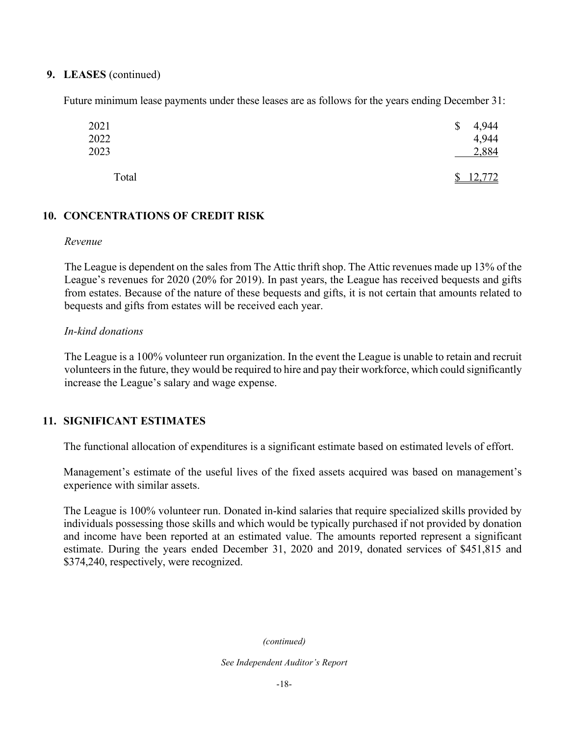#### **9. LEASES** (continued)

Future minimum lease payments under these leases are as follows for the years ending December 31:

| 2021<br>2022 | 4,944<br>\$<br>4,944 |
|--------------|----------------------|
| 2023         | 2,884                |
| Total        | 772<br><u>12,772</u> |

## **10. CONCENTRATIONS OF CREDIT RISK**

#### *Revenue*

The League is dependent on the sales from The Attic thrift shop. The Attic revenues made up 13% of the League's revenues for 2020 (20% for 2019). In past years, the League has received bequests and gifts from estates. Because of the nature of these bequests and gifts, it is not certain that amounts related to bequests and gifts from estates will be received each year.

#### *In-kind donations*

The League is a 100% volunteer run organization. In the event the League is unable to retain and recruit volunteers in the future, they would be required to hire and pay their workforce, which could significantly increase the League's salary and wage expense.

## **11. SIGNIFICANT ESTIMATES**

The functional allocation of expenditures is a significant estimate based on estimated levels of effort.

Management's estimate of the useful lives of the fixed assets acquired was based on management's experience with similar assets.

The League is 100% volunteer run. Donated in-kind salaries that require specialized skills provided by individuals possessing those skills and which would be typically purchased if not provided by donation and income have been reported at an estimated value. The amounts reported represent a significant estimate. During the years ended December 31, 2020 and 2019, donated services of \$451,815 and \$374,240, respectively, were recognized.

*(continued)*